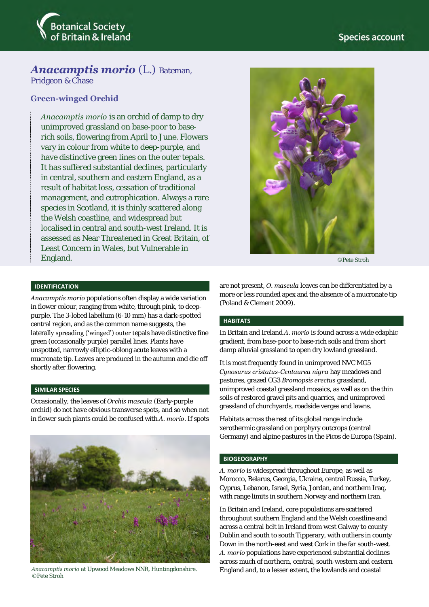

# *Anacamptis morio* (L.) Bateman,

Pridgeon & Chase

# **Green-winged Orchid**

*Anacamptis morio* is an orchid of damp to dry unimproved grassland on base-poor to baserich soils, flowering from April to June. Flowers vary in colour from white to deep-purple, and have distinctive green lines on the outer tepals. It has suffered substantial declines, particularly in central, southern and eastern England, as a result of habitat loss, cessation of traditional management, and eutrophication. Always a rare species in Scotland, it is thinly scattered along the Welsh coastline, and widespread but localised in central and south-west Ireland. It is assessed as Near Threatened in Great Britain, of Least Concern in Wales, but Vulnerable in England.



©Pete Stroh

#### **IDENTIFICATION**

*Anacamptis morio* populations often display a wide variation in flower colour, ranging from white, through pink, to deeppurple. The 3-lobed labellum (6-10 mm) has a dark-spotted central region, and as the common name suggests, the laterally spreading ('winged') outer tepals have distinctive fine green (occasionally purple) parallel lines. Plants have unspotted, narrowly elliptic-oblong acute leaves with a mucronate tip. Leaves are produced in the autumn and die off shortly after flowering.

#### **SIMILAR SPECIES**

Occasionally, the leaves of *Orchis mascula* (Early-purple orchid) do not have obvious transverse spots, and so when not in flower such plants could be confused with *A. morio*. If spots



©Pete Stroh

are not present, *O. mascula* leaves can be differentiated by a more or less rounded apex and the absence of a mucronate tip (Poland & Clement 2009).

#### **HABITATS**

In Britain and Ireland *A. morio* is found across a wide edaphic gradient, from base-poor to base-rich soils and from short damp alluvial grassland to open dry lowland grassland.

It is most frequently found in unimproved NVC MG5 *Cynosurus cristatus-Centaurea nigra* hay meadows and pastures, grazed CG3 *Bromopsis erectus* grassland, unimproved coastal grassland mosaics, as well as on the thin soils of restored gravel pits and quarries, and unimproved grassland of churchyards, roadside verges and lawns.

Habitats across the rest of its global range include xerothermic grassland on porphyry outcrops (central Germany) and alpine pastures in the Picos de Europa (Spain).

#### **BIOGEOGRAPHY**

*A. morio* is widespread throughout Europe, as well as Morocco, Belarus, Georgia, Ukraine, central Russia, Turkey, Cyprus, Lebanon, Israel, Syria, Jordan, and northern Iraq, with range limits in southern Norway and northern Iran.

In Britain and Ireland, core populations are scattered throughout southern England and the Welsh coastline and across a central belt in Ireland from west Galway to county Dublin and south to south Tipperary, with outliers in county Down in the north-east and west Cork in the far south-west. *A. morio* populations have experienced substantial declines across much of northern, central, south-western and eastern Anacamptis morio at Upwood Meadows NNR, Huntingdonshire. England and, to a lesser extent, the lowlands and coastal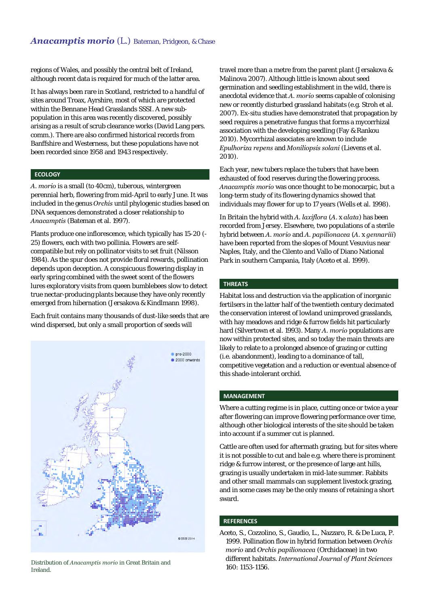regions of Wales, and possibly the central belt of Ireland, although recent data is required for much of the latter area.

It has always been rare in Scotland, restricted to a handful of sites around Troax, Ayrshire, most of which are protected within the Bennane Head Grasslands SSSI. A new subpopulation in this area was recently discovered, possibly arising as a result of scrub clearance works (David Lang pers. comm.). There are also confirmed historical records from Banffshire and Westerness, but these populations have not been recorded since 1958 and 1943 respectively.

## **ECOLOGY**

*A. morio* is a small (to 40cm), tuberous, wintergreen perennial herb, flowering from mid-April to early June. It was included in the genus *Orchis* until phylogenic studies based on DNA sequences demonstrated a closer relationship to *Anacamptis* (Bateman et al. 1997).

Plants produce one inflorescence, which typically has 15-20 (- 25) flowers, each with two pollinia. Flowers are selfcompatible but rely on pollinator visits to set fruit (Nilsson 1984). As the spur does not provide floral rewards, pollination depends upon deception. A conspicuous flowering display in early spring combined with the sweet scent of the flowers lures exploratory visits from queen bumblebees slow to detect true nectar-producing plants because they have only recently emerged from hibernation (Jersakova & Kindlmann 1998).

Each fruit contains many thousands of dust-like seeds that are wind dispersed, but only a small proportion of seeds will



Distribution of *Anacamptis morio* in Great Britain and Ireland.

travel more than a metre from the parent plant (Jersakova & Malinova 2007). Although little is known about seed germination and seedling establishment in the wild, there is anecdotal evidence that *A. morio* seems capable of colonising new or recently disturbed grassland habitats (e.g. Stroh et al. 2007). Ex-situ studies have demonstrated that propagation by seed requires a penetrative fungus that forms a mycorrhizal association with the developing seedling (Fay & Rankou 2010). Mycorrhizal associates are known to include *Epulhoriza repens* and *Moniliopsis solani* (Lievens et al. 2010).

Each year, new tubers replace the tubers that have been exhausted of food reserves during the flowering process. *Anacamptis morio* was once thought to be monocarpic, but a long-term study of its flowering dynamics showed that individuals may flower for up to 17 years (Wells et al. 1998).

In Britain the hybrid with *A. laxiflora* (*A*. x *alata*) has been recorded from Jersey. Elsewhere, two populations of a sterile hybrid between *A. morio* and *A. papilionacea* (*A.* x *gennariii*) have been reported from the slopes of Mount Vesuvius near Naples, Italy, and the Cilento and Vallo of Diano National Park in southern Campania, Italy (Aceto et al. 1999).

## **THREATS**

Habitat loss and destruction via the application of inorganic fertilsers in the latter half of the twentieth century decimated the conservation interest of lowland unimproved grasslands, with hay meadows and ridge & furrow fields hit particularly hard (Silvertown et al. 1993). Many *A. morio* populations are now within protected sites, and so today the main threats are likely to relate to a prolonged absence of grazing or cutting (i.e. abandonment), leading to a dominance of tall, competitive vegetation and a reduction or eventual absence of this shade-intolerant orchid.

#### **MANAGEMENT**

Where a cutting regime is in place, cutting once or twice a year after flowering can improve flowering performance over time, although other biological interests of the site should be taken into account if a summer cut is planned.

Cattle are often used for aftermath grazing, but for sites where it is not possible to cut and bale e.g. where there is prominent ridge & furrow interest, or the presence of large ant hills, grazing is usually undertaken in mid-late summer. Rabbits and other small mammals can supplement livestock grazing, and in some cases may be the only means of retaining a short sward.

#### **REFERENCES**

Aceto, S., Cozzolino, S., Gaudio, L., Nazzaro, R. & De Luca, P. 1999. Pollination flow in hybrid formation between *Orchis morio* and *Orchis papilionacea* (Orchidaceae) in two different habitats. *International Journal of Plant Sciences* 160: 1153-1156.